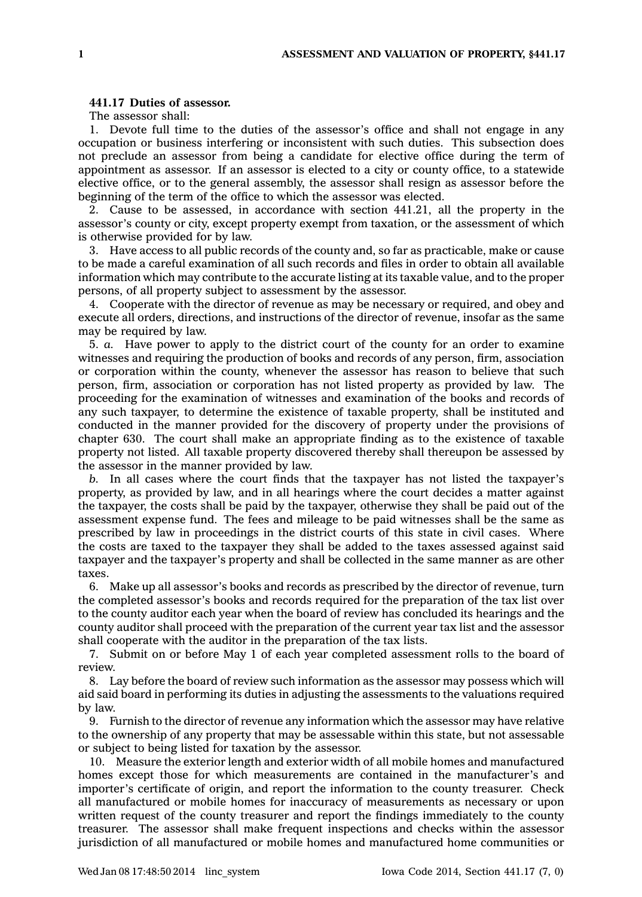## **441.17 Duties of assessor.**

The assessor shall:

1. Devote full time to the duties of the assessor's office and shall not engage in any occupation or business interfering or inconsistent with such duties. This subsection does not preclude an assessor from being <sup>a</sup> candidate for elective office during the term of appointment as assessor. If an assessor is elected to <sup>a</sup> city or county office, to <sup>a</sup> statewide elective office, or to the general assembly, the assessor shall resign as assessor before the beginning of the term of the office to which the assessor was elected.

2. Cause to be assessed, in accordance with section 441.21, all the property in the assessor's county or city, except property exempt from taxation, or the assessment of which is otherwise provided for by law.

3. Have access to all public records of the county and, so far as practicable, make or cause to be made <sup>a</sup> careful examination of all such records and files in order to obtain all available information which may contribute to the accurate listing at its taxable value, and to the proper persons, of all property subject to assessment by the assessor.

4. Cooperate with the director of revenue as may be necessary or required, and obey and execute all orders, directions, and instructions of the director of revenue, insofar as the same may be required by law.

5. *a.* Have power to apply to the district court of the county for an order to examine witnesses and requiring the production of books and records of any person, firm, association or corporation within the county, whenever the assessor has reason to believe that such person, firm, association or corporation has not listed property as provided by law. The proceeding for the examination of witnesses and examination of the books and records of any such taxpayer, to determine the existence of taxable property, shall be instituted and conducted in the manner provided for the discovery of property under the provisions of chapter 630. The court shall make an appropriate finding as to the existence of taxable property not listed. All taxable property discovered thereby shall thereupon be assessed by the assessor in the manner provided by law.

*b.* In all cases where the court finds that the taxpayer has not listed the taxpayer's property, as provided by law, and in all hearings where the court decides <sup>a</sup> matter against the taxpayer, the costs shall be paid by the taxpayer, otherwise they shall be paid out of the assessment expense fund. The fees and mileage to be paid witnesses shall be the same as prescribed by law in proceedings in the district courts of this state in civil cases. Where the costs are taxed to the taxpayer they shall be added to the taxes assessed against said taxpayer and the taxpayer's property and shall be collected in the same manner as are other taxes.

6. Make up all assessor's books and records as prescribed by the director of revenue, turn the completed assessor's books and records required for the preparation of the tax list over to the county auditor each year when the board of review has concluded its hearings and the county auditor shall proceed with the preparation of the current year tax list and the assessor shall cooperate with the auditor in the preparation of the tax lists.

7. Submit on or before May 1 of each year completed assessment rolls to the board of review.

8. Lay before the board of review such information as the assessor may possess which will aid said board in performing its duties in adjusting the assessments to the valuations required by law.

9. Furnish to the director of revenue any information which the assessor may have relative to the ownership of any property that may be assessable within this state, but not assessable or subject to being listed for taxation by the assessor.

10. Measure the exterior length and exterior width of all mobile homes and manufactured homes except those for which measurements are contained in the manufacturer's and importer's certificate of origin, and report the information to the county treasurer. Check all manufactured or mobile homes for inaccuracy of measurements as necessary or upon written request of the county treasurer and report the findings immediately to the county treasurer. The assessor shall make frequent inspections and checks within the assessor jurisdiction of all manufactured or mobile homes and manufactured home communities or